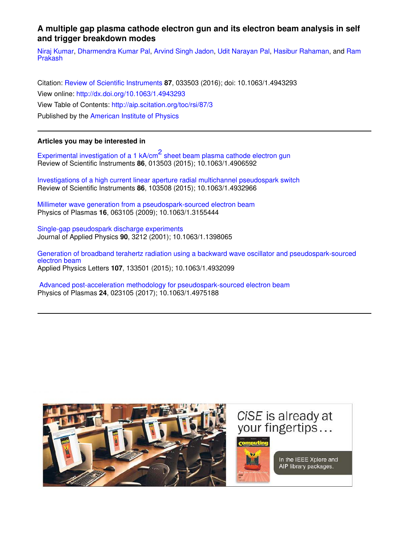## **A multiple gap plasma cathode electron gun and its electron beam analysis in self and trigger breakdown modes**

Niraj Kumar, Dharmendra Kumar Pal, Arvind Singh Jadon, Udit Narayan Pal, Hasibur Rahaman, and Ram Prakash

Citation: Review of Scientific Instruments **87**, 033503 (2016); doi: 10.1063/1.4943293 View online: http://dx.doi.org/10.1063/1.4943293 View Table of Contents: http://aip.scitation.org/toc/rsi/87/3 Published by the American Institute of Physics

### **Articles you may be interested in**

Experimental investigation of a 1 kA/cm<sup>2</sup> sheet beam plasma cathode electron gun Review of Scientific Instruments **86**, 013503 (2015); 10.1063/1.4906592

Investigations of a high current linear aperture radial multichannel pseudospark switch Review of Scientific Instruments **86**, 103508 (2015); 10.1063/1.4932966

Millimeter wave generation from a pseudospark-sourced electron beam Physics of Plasmas **16**, 063105 (2009); 10.1063/1.3155444

Single-gap pseudospark discharge experiments Journal of Applied Physics **90**, 3212 (2001); 10.1063/1.1398065

Generation of broadband terahertz radiation using a backward wave oscillator and pseudospark-sourced electron beam Applied Physics Letters **107**, 133501 (2015); 10.1063/1.4932099

 Advanced post-acceleration methodology for pseudospark-sourced electron beam Physics of Plasmas **24**, 023105 (2017); 10.1063/1.4975188

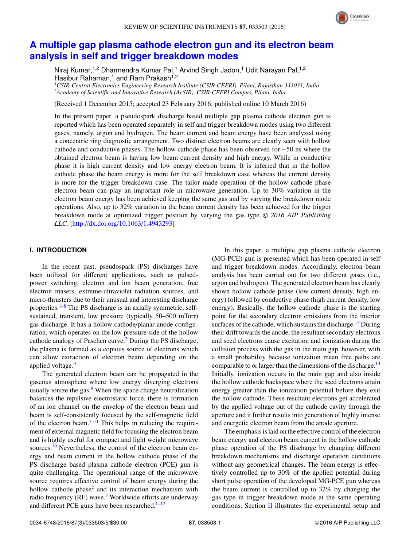

# **A multiple gap plasma cathode electron gun and its electron beam analysis in self and trigger breakdown modes**

Niraj Kumar,<sup>1,2</sup> Dharmendra Kumar Pal,<sup>1</sup> Arvind Singh Jadon,<sup>1</sup> Udit Narayan Pal,<sup>1,2</sup> Hasibur Rahaman,<sup>1</sup> and Ram Prakash<sup>1,2</sup>

<sup>1</sup>*CSIR-Central Electronics Engineering Research Institute (CSIR-CEERI), Pilani, Rajasthan 333031, India* <sup>2</sup>*Academy of Scientific and Innovative Research (AcSIR), CSIR-CEERI Campus, Pilani, India*

(Received 1 December 2015; accepted 23 February 2016; published online 10 March 2016)

In the present paper, a pseudospark discharge based multiple gap plasma cathode electron gun is reported which has been operated separately in self and trigger breakdown modes using two different gases, namely, argon and hydrogen. The beam current and beam energy have been analyzed using a concentric ring diagnostic arrangement. Two distinct electron beams are clearly seen with hollow cathode and conductive phases. The hollow cathode phase has been observed for ∼50 ns where the obtained electron beam is having low beam current density and high energy. While in conductive phase it is high current density and low energy electron beam. It is inferred that in the hollow cathode phase the beam energy is more for the self breakdown case whereas the current density is more for the trigger breakdown case. The tailor made operation of the hollow cathode phase electron beam can play an important role in microwave generation. Up to 30% variation in the electron beam energy has been achieved keeping the same gas and by varying the breakdown mode operations. Also, up to 32% variation in the beam current density has been achieved for the trigger breakdown mode at optimized trigger position by varying the gas type. <sup>C</sup> *2016 AIP Publishing LLC.* [http://dx.doi.org/10.1063/1.4943293]

### **I. INTRODUCTION**

In the recent past, pseudospark (PS) discharges have been utilized for different applications, such as pulsedpower switching, electron and ion beam generation, free electron masers, extreme-ultraviolet radiation sources, and micro-thrusters due to their unusual and interesting discharge properties. $1-8$  The PS discharge is an axially symmetric, selfsustained, transient, low pressure (typically 50–500 mTorr) gas discharge. It has a hollow cathode/planar anode configuration, which operates on the low pressure side of the hollow cathode analogy of Paschen curve.<sup>2</sup> During the PS discharge, the plasma is formed as a copious source of electrons which can allow extraction of electron beam depending on the applied voltage.<sup>9</sup>

The generated electron beam can be propagated in the gaseous atmosphere where low energy diverging electrons usually ionize the gas. $9$  When the space charge neutralization balances the repulsive electrostatic force, there is formation of an ion channel on the envelop of the electron beam and beam is self-consistently focused by the self-magnetic field of the electron beam. $7-11$  This helps in reducing the requirement of external magnetic field for focusing the electron beam and is highly useful for compact and light weight microwave sources.<sup>10</sup> Nevertheless, the control of the electron beam energy and beam current in the hollow cathode phase of the PS discharge based plasma cathode electron (PCE) gun is quite challenging. The operational range of the microwave source requires effective control of beam energy during the hollow cathode phase<sup>2</sup> and its interaction mechanism with radio frequency  $(RF)$  wave.<sup>3</sup> Worldwide efforts are underway and different PCE guns have been researched. $1-12$ 

In this paper, a multiple gap plasma cathode electron (MG-PCE) gun is presented which has been operated in self and trigger breakdown modes. Accordingly, electron beam analysis has been carried out for two different gases (i.e., argon and hydrogen). The generated electron beam has clearly shown hollow cathode phase (low current density, high energy) followed by conductive phase (high current density, low energy). Basically, the hollow cathode phase is the starting point for the secondary electron emissions from the interior surfaces of the cathode, which sustains the discharge.<sup>13</sup> During their drift towards the anode, the resultant secondary electrons and seed electrons cause excitation and ionization during the collision process with the gas in the main gap, however, with a small probability because ionization mean free paths are comparable to or larger than the dimensions of the discharge.<sup>13</sup> Initially, ionization occurs in the main gap and also inside the hollow cathode backspace where the seed electrons attain energy greater than the ionization potential before they exit the hollow cathode. These resultant electrons get accelerated by the applied voltage out of the cathode cavity through the aperture and it further results into generation of highly intense and energetic electron beam from the anode aperture.

The emphasis is laid on the effective control of the electron beam energy and electron beam current in the hollow cathode phase operation of the PS discharge by changing different breakdown mechanisms and discharge operation conditions without any geometrical changes. The beam energy is effectively controlled up to 30% of the applied potential during short pulse operation of the developed MG-PCE gun whereas the beam current is controlled up to 32% by changing the gas type in trigger breakdown mode at the same operating conditions. Section  $\Pi$  illustrates the experimental setup and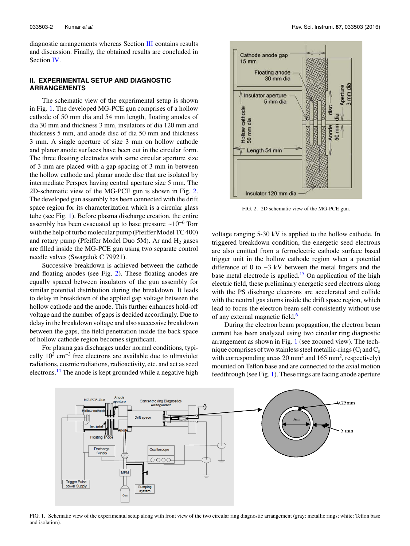diagnostic arrangements whereas Section III contains results and discussion. Finally, the obtained results are concluded in Section IV.

### **II. EXPERIMENTAL SETUP AND DIAGNOSTIC ARRANGEMENTS**

The schematic view of the experimental setup is shown in Fig. 1. The developed MG-PCE gun comprises of a hollow cathode of 50 mm dia and 54 mm length, floating anodes of dia 30 mm and thickness 3 mm, insulators of dia 120 mm and thickness 5 mm, and anode disc of dia 50 mm and thickness 3 mm. A single aperture of size 3 mm on hollow cathode and planar anode surfaces have been cut in the circular form. The three floating electrodes with same circular aperture size of 3 mm are placed with a gap spacing of 3 mm in between the hollow cathode and planar anode disc that are isolated by intermediate Perspex having central aperture size 5 mm. The 2D-schematic view of the MG-PCE gun is shown in Fig. 2. The developed gun assembly has been connected with the drift space region for its characterization which is a circular glass tube (see Fig. 1). Before plasma discharge creation, the entire assembly has been evacuated up to base pressure ∼10<sup>−</sup><sup>6</sup> Torr with the help of turbo molecular pump (Pfeiffer Model TC 400) and rotary pump (Pfeiffer Model Duo 5M). Ar and  $H_2$  gases are filled inside the MG-PCE gun using two separate control needle valves (Swagelok C 79921).

Successive breakdown is achieved between the cathode and floating anodes (see Fig. 2). These floating anodes are equally spaced between insulators of the gun assembly for similar potential distribution during the breakdown. It leads to delay in breakdown of the applied gap voltage between the hollow cathode and the anode. This further enhances hold-off voltage and the number of gaps is decided accordingly. Due to delay in the breakdown voltage and also successive breakdown between the gaps, the field penetration inside the back space of hollow cathode region becomes significant.

For plasma gas discharges under normal conditions, typically  $10^3$  cm<sup>-3</sup> free electrons are available due to ultraviolet radiations, cosmic radiations, radioactivity, etc. and act as seed electrons.<sup>14</sup> The anode is kept grounded while a negative high



FIG. 2. 2D schematic view of the MG-PCE gun.

voltage ranging 5-30 kV is applied to the hollow cathode. In triggered breakdown condition, the energetic seed electrons are also emitted from a ferroelectric cathode surface based trigger unit in the hollow cathode region when a potential difference of 0 to −3 kV between the metal fingers and the base metal electrode is applied.<sup>15</sup> On application of the high electric field, these preliminary energetic seed electrons along with the PS discharge electrons are accelerated and collide with the neutral gas atoms inside the drift space region, which lead to focus the electron beam self-consistently without use of any external magnetic field.<sup>6</sup>

During the electron beam propagation, the electron beam current has been analyzed using two circular ring diagnostic arrangement as shown in Fig. 1 (see zoomed view). The technique comprises of two stainless steel metallic-rings  $(C_i$  and  $C_o$ with corresponding areas  $20 \text{ mm}^2$  and  $165 \text{ mm}^2$ , respectively) mounted on Teflon base and are connected to the axial motion feedthrough (see Fig. 1). These rings are facing anode aperture



FIG. 1. Schematic view of the experimental setup along with front view of the two circular ring diagnostic arrangement (gray: metallic rings; white: Teflon base and isolation).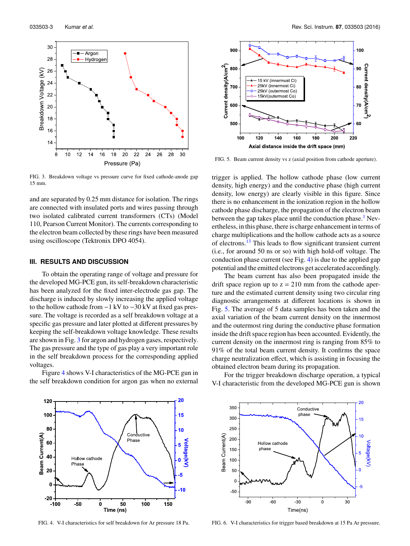

FIG. 3. Breakdown voltage vs pressure curve for fixed cathode-anode gap 15 mm.

and are separated by 0.25 mm distance for isolation. The rings are connected with insulated ports and wires passing through two isolated calibrated current transformers (CTs) (Model 110, Pearson Current Monitor). The currents corresponding to the electron beam collected by these rings have been measured using oscilloscope (Tektronix DPO 4054).

#### **III. RESULTS AND DISCUSSION**

To obtain the operating range of voltage and pressure for the developed MG-PCE gun, its self-breakdown characteristic has been analyzed for the fixed inter-electrode gas gap. The discharge is induced by slowly increasing the applied voltage to the hollow cathode from −1 kV to −30 kV at fixed gas pressure. The voltage is recorded as a self breakdown voltage at a specific gas pressure and later plotted at different pressures by keeping the self-breakdown voltage knowledge. These results are shown in Fig. 3 for argon and hydrogen gases, respectively. The gas pressure and the type of gas play a very important role in the self breakdown process for the corresponding applied voltages.

Figure 4 shows V-I characteristics of the MG-PCE gun in the self breakdown condition for argon gas when no external



FIG. 4. V-I characteristics for self breakdown for Ar pressure 18 Pa.



FIG. 5. Beam current density vs z (axial position from cathode aperture).

trigger is applied. The hollow cathode phase (low current density, high energy) and the conductive phase (high current density, low energy) are clearly visible in this figure. Since there is no enhancement in the ionization region in the hollow cathode phase discharge, the propagation of the electron beam between the gap takes place until the conduction phase.<sup>1</sup> Nevertheless, in this phase, there is charge enhancement in terms of charge multiplications and the hollow cathode acts as a source of electrons.<sup>13</sup> This leads to flow significant transient current (i.e., for around 50 ns or so) with high hold-off voltage. The conduction phase current (see Fig. 4) is due to the applied gap potential and the emitted electrons get accelerated accordingly.

The beam current has also been propagated inside the drift space region up to  $z = 210$  mm from the cathode aperture and the estimated current density using two circular ring diagnostic arrangements at different locations is shown in Fig. 5. The average of 5 data samples has been taken and the axial variation of the beam current density on the innermost and the outermost ring during the conductive phase formation inside the drift space region has been accounted. Evidently, the current density on the innermost ring is ranging from 85% to 91% of the total beam current density. It confirms the space charge neutralization effect, which is assisting in focusing the obtained electron beam during its propagation.

For the trigger breakdown discharge operation, a typical V-I characteristic from the developed MG-PCE gun is shown



FIG. 6. V-I characteristics for trigger based breakdown at 15 Pa Ar pressure.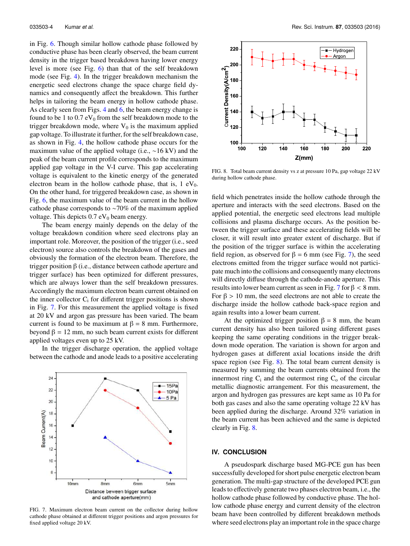in Fig. 6. Though similar hollow cathode phase followed by conductive phase has been clearly observed, the beam current density in the trigger based breakdown having lower energy level is more (see Fig. 6) than that of the self breakdown mode (see Fig. 4). In the trigger breakdown mechanism the energetic seed electrons change the space charge field dynamics and consequently affect the breakdown. This further helps in tailoring the beam energy in hollow cathode phase. As clearly seen from Figs. 4 and 6, the beam energy change is found to be 1 to  $0.7 \text{ eV}_0$  from the self breakdown mode to the trigger breakdown mode, where  $V_0$  is the maximum applied gap voltage. To illustrate it further, for the self breakdown case, as shown in Fig. 4, the hollow cathode phase occurs for the maximum value of the applied voltage (i.e., ∼16 kV) and the peak of the beam current profile corresponds to the maximum applied gap voltage in the V-I curve. This gap accelerating voltage is equivalent to the kinetic energy of the generated electron beam in the hollow cathode phase, that is,  $1 \text{ eV}_0$ . On the other hand, for triggered breakdown case, as shown in Fig. 6, the maximum value of the beam current in the hollow cathode phase corresponds to ∼70% of the maximum applied voltage. This depicts  $0.7 \text{ eV}_0$  beam energy.

The beam energy mainly depends on the delay of the voltage breakdown condition where seed electrons play an important role. Moreover, the position of the trigger (i.e., seed electron) source also controls the breakdown of the gases and obviously the formation of the electron beam. Therefore, the trigger position β (i.e., distance between cathode aperture and trigger surface) has been optimized for different pressures, which are always lower than the self breakdown pressures. Accordingly the maximum electron beam current obtained on the inner collector  $C_i$  for different trigger positions is shown in Fig. 7. For this measurement the applied voltage is fixed at 20 kV and argon gas pressure has been varied. The beam current is found to be maximum at  $β = 8$  mm. Furthermore, beyond  $β = 12$  mm, no such beam current exists for different applied voltages even up to 25 kV.

In the trigger discharge operation, the applied voltage between the cathode and anode leads to a positive accelerating



FIG. 7. Maximum electron beam current on the collector during hollow cathode phase obtained at different trigger positions and argon pressures for fixed applied voltage 20 kV.



FIG. 8. Total beam current density vs z at pressure 10 Pa, gap voltage 22 kV during hollow cathode phase.

field which penetrates inside the hollow cathode through the aperture and interacts with the seed electrons. Based on the applied potential, the energetic seed electrons lead multiple collisions and plasma discharge occurs. As the position between the trigger surface and these accelerating fields will be closer, it will result into greater extent of discharge. But if the position of the trigger surface is within the accelerating field region, as observed for  $\beta = 6$  mm (see Fig. 7), the seed electrons emitted from the trigger surface would not participate much into the collisions and consequently many electrons will directly diffuse through the cathode-anode aperture. This results into lower beam current as seen in Fig. 7 for  $\beta$  < 8 mm. For β > 10 mm, the seed electrons are not able to create the discharge inside the hollow cathode back-space region and again results into a lower beam current.

At the optimized trigger position  $\beta = 8$  mm, the beam current density has also been tailored using different gases keeping the same operating conditions in the trigger breakdown mode operation. The variation is shown for argon and hydrogen gases at different axial locations inside the drift space region (see Fig. 8). The total beam current density is measured by summing the beam currents obtained from the innermost ring  $C_i$  and the outermost ring  $C_o$  of the circular metallic diagnostic arrangement. For this measurement, the argon and hydrogen gas pressures are kept same as 10 Pa for both gas cases and also the same operating voltage 22 kV has been applied during the discharge. Around 32% variation in the beam current has been achieved and the same is depicted clearly in Fig. 8.

### **IV. CONCLUSION**

A pseudospark discharge based MG-PCE gun has been successfully developed for short pulse energetic electron beam generation. The multi-gap structure of the developed PCE gun leads to effectively generate two phases electron beam, i.e., the hollow cathode phase followed by conductive phase. The hollow cathode phase energy and current density of the electron beam have been controlled by different breakdown methods where seed electrons play an important role in the space charge